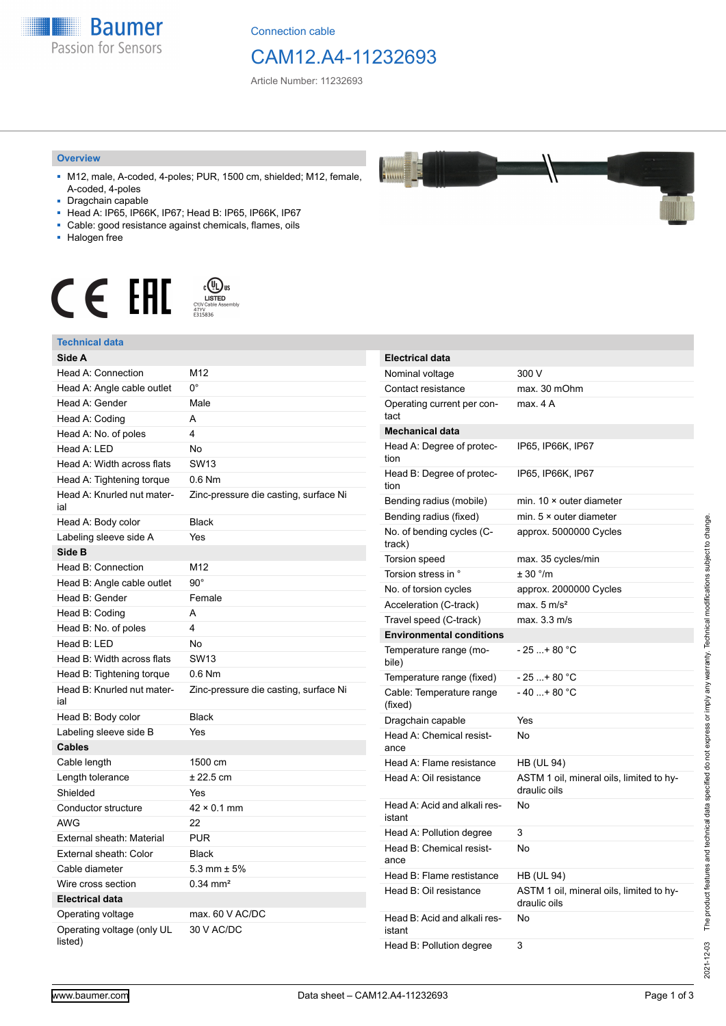

Connection cable

## CAM12.A4-11232693

Article Number: 11232693

#### **Overview**

- M12, male, A-coded, 4-poles; PUR, 1500 cm, shielded; M12, female, A-coded, 4-poles
- Dragchain capable
- Head A: IP65, IP66K, IP67; Head B: IP65, IP66K, IP67
- Cable: good resistance against chemicals, flames, oils
- Halogen free



#### **Technical data**

| Technical data                        |                                       |
|---------------------------------------|---------------------------------------|
| Side A                                |                                       |
| Head A: Connection                    | M12                                   |
| Head A: Angle cable outlet            | 0°                                    |
| Head A: Gender                        | Male                                  |
| Head A: Coding                        | A                                     |
| Head A: No. of poles                  | 4                                     |
| Head A: LED                           | No                                    |
| Head A: Width across flats            | <b>SW13</b>                           |
| Head A: Tightening torque             | $0.6$ Nm                              |
| Head A: Knurled nut mater-<br>ial     | Zinc-pressure die casting, surface Ni |
| Head A: Body color                    | <b>Black</b>                          |
| Labeling sleeve side A                | Yes                                   |
| Side B                                |                                       |
| Head B: Connection                    | M12                                   |
| Head B: Angle cable outlet            | $90^\circ$                            |
| Head B: Gender                        | Female                                |
| Head B: Coding                        | A                                     |
| Head B: No. of poles                  | 4                                     |
| Head B: LED                           | No                                    |
| Head B: Width across flats            | <b>SW13</b>                           |
| Head B: Tightening torque             | $0.6$ Nm                              |
| Head B: Knurled nut mater-<br>ial     | Zinc-pressure die casting, surface Ni |
| Head B: Body color                    | <b>Black</b>                          |
| Labeling sleeve side B                | Yes                                   |
| <b>Cables</b>                         |                                       |
| Cable length                          | 1500 cm                               |
| Length tolerance                      | $± 22.5$ cm                           |
| Shielded                              | Yes                                   |
| Conductor structure                   | $42 \times 0.1$ mm                    |
| <b>AWG</b>                            | 22                                    |
| External sheath: Material             | <b>PUR</b>                            |
| External sheath: Color                | <b>Black</b>                          |
| Cable diameter                        | 5.3 mm $\pm$ 5%                       |
| Wire cross section                    | $0.34$ mm <sup>2</sup>                |
| <b>Electrical data</b>                |                                       |
| Operating voltage                     | max. 60 V AC/DC                       |
| Operating voltage (only UL<br>listed) | 30 V AC/DC                            |

| <b>Electrical data</b>                 |                                                          |
|----------------------------------------|----------------------------------------------------------|
| Nominal voltage                        | 300 V                                                    |
| Contact resistance                     | max. 30 mOhm                                             |
| Operating current per con-<br>tact     | max. 4 A                                                 |
| <b>Mechanical data</b>                 |                                                          |
| Head A: Degree of protec-<br>tion      | IP65, IP66K, IP67                                        |
| Head B: Degree of protec-<br>tion      | IP65, IP66K, IP67                                        |
| Bending radius (mobile)                | min. $10 \times$ outer diameter                          |
| Bending radius (fixed)                 | min. $5 \times$ outer diameter                           |
| No. of bending cycles (C-<br>track)    | approx. 5000000 Cycles                                   |
| Torsion speed                          | max. 35 cycles/min                                       |
| Torsion stress in °                    | ± 30 °/m                                                 |
| No. of torsion cycles                  | approx. 2000000 Cycles                                   |
| Acceleration (C-track)                 | max. $5 \text{ m/s}^2$                                   |
| Travel speed (C-track)                 | max. 3.3 m/s                                             |
| <b>Environmental conditions</b>        |                                                          |
| Temperature range (mo-<br>bile)        | $-25+80 °C$                                              |
| Temperature range (fixed)              | - 25 + 80 °C                                             |
| Cable: Temperature range<br>(fixed)    | - 40 + 80 °C                                             |
| Dragchain capable                      | Yes                                                      |
| Head A: Chemical resist-<br>ance       | No                                                       |
| Head A: Flame resistance               | <b>HB (UL 94)</b>                                        |
| Head A: Oil resistance                 | ASTM 1 oil, mineral oils, limited to hy-<br>draulic oils |
| Head A: Acid and alkali res-<br>istant | No                                                       |
| Head A: Pollution degree               | 3                                                        |
| Head B: Chemical resist-<br>ance       | No                                                       |
| Head B: Flame restistance              | HB (UL 94)                                               |
| Head B: Oil resistance                 | ASTM 1 oil, mineral oils, limited to hy-<br>draulic oils |
| Head B: Acid and alkali res-<br>istant | No                                                       |

Head B: Pollution degree 3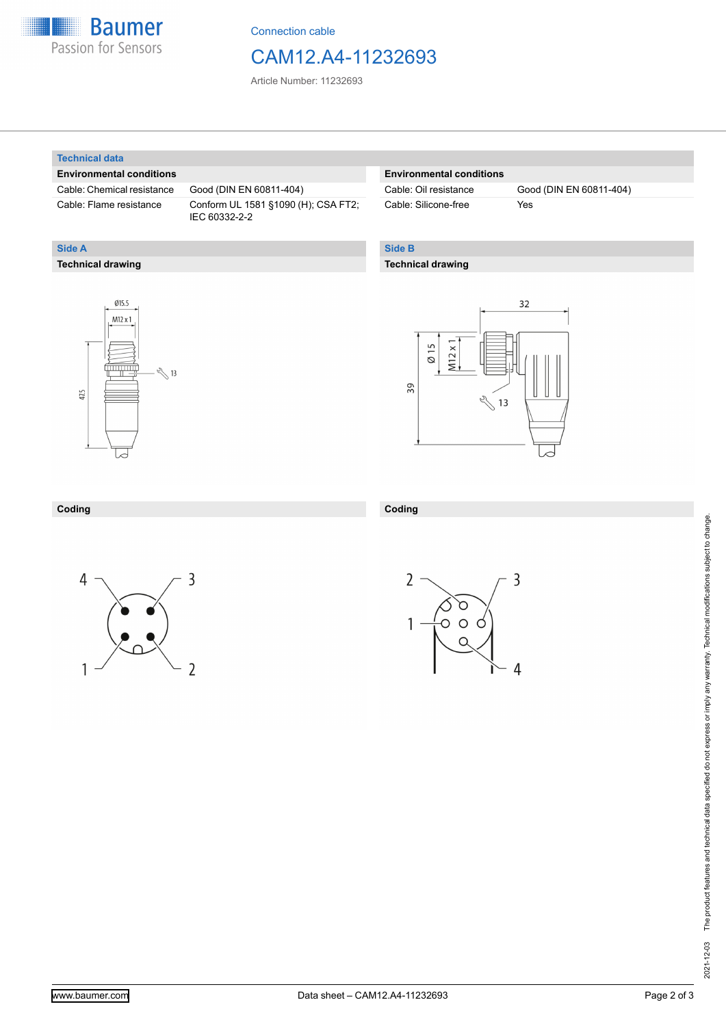

Connection cable

## CAM12.A4-11232693

Article Number: 11232693

#### **Technical data**

**Technical drawing**

**Side A**

### **Environmental conditions**

Cable: Chemical resistance Good (DIN EN 60811-404)

Cable: Flame resistance Conform UL 1581 §1090 (H); CSA FT2; IEC 60332-2-2

## **Environmental conditions**

Cable: Silicone-free Yes

Cable: Oil resistance Good (DIN EN 60811-404)

## **Side B**

**Coding**

### **Technical drawing**





#### **Coding**